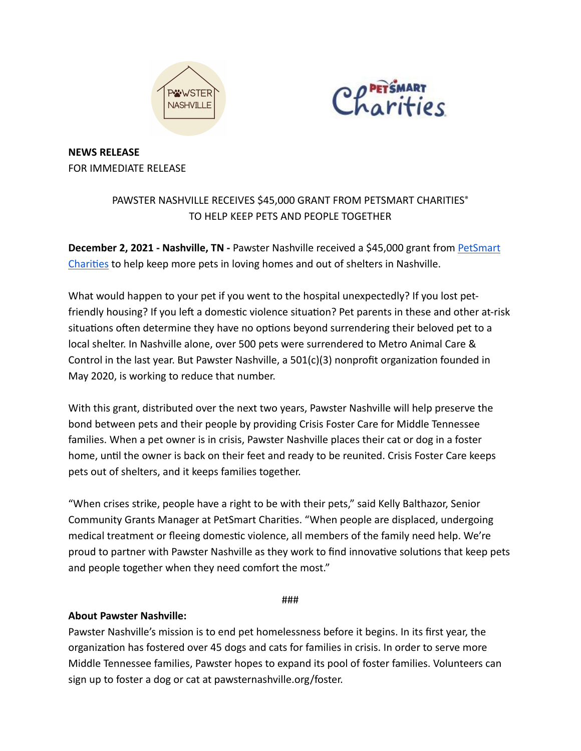



**NEWS RELEASE**  FOR IMMEDIATE RELEASE

## PAWSTER NASHVILLE RECEIVES \$45,000 GRANT FROM PETSMART CHARITIES® TO HELP KEEP PETS AND PEOPLE TOGETHER

**December 2, 2021 - Nashville, TN - Pawster Nashville received a \$45,000 grant from PetSmart** Charities to help keep more pets in loving homes and out of shelters in Nashville.

What would happen to your pet if you went to the hospital unexpectedly? If you lost petfriendly housing? If you left a domestic violence situation? Pet parents in these and other at-risk situations often determine they have no options beyond surrendering their beloved pet to a local shelter. In Nashville alone, over 500 pets were surrendered to Metro Animal Care & Control in the last year. But Pawster Nashville, a  $501(c)(3)$  nonprofit organization founded in May 2020, is working to reduce that number.

With this grant, distributed over the next two years, Pawster Nashville will help preserve the bond between pets and their people by providing Crisis Foster Care for Middle Tennessee families. When a pet owner is in crisis, Pawster Nashville places their cat or dog in a foster home, until the owner is back on their feet and ready to be reunited. Crisis Foster Care keeps pets out of shelters, and it keeps families together.

"When crises strike, people have a right to be with their pets," said Kelly Balthazor, Senior Community Grants Manager at PetSmart Charities. "When people are displaced, undergoing medical treatment or fleeing domestic violence, all members of the family need help. We're proud to partner with Pawster Nashville as they work to find innovative solutions that keep pets and people together when they need comfort the most."

###

## **About Pawster Nashville:**

Pawster Nashville's mission is to end pet homelessness before it begins. In its first year, the organization has fostered over 45 dogs and cats for families in crisis. In order to serve more Middle Tennessee families, Pawster hopes to expand its pool of foster families. Volunteers can sign up to foster a dog or cat at pawsternashville.org/foster.